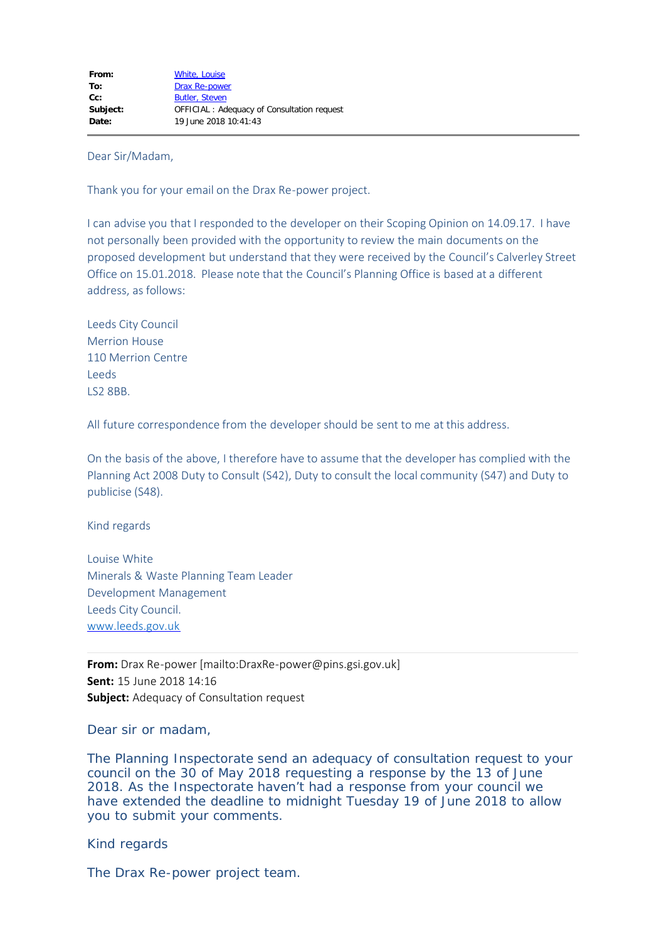Dear Sir/Madam,

Thank you for your email on the Drax Re-power project.

I can advise you that I responded to the developer on their Scoping Opinion on 14.09.17. I have not personally been provided with the opportunity to review the main documents on the proposed development but understand that they were received by the Council's Calverley Street Office on 15.01.2018. Please note that the Council's Planning Office is based at a different address, as follows:

Leeds City Council Merrion House 110 Merrion Centre Leeds LS2 8BB.

All future correspondence from the developer should be sent to me at this address.

On the basis of the above, I therefore have to assume that the developer has complied with the Planning Act 2008 Duty to Consult (S42), Duty to consult the local community (S47) and Duty to publicise (S48).

Kind regards

Louise White Minerals & Waste Planning Team Leader Development Management Leeds City Council. [www.leeds.gov.uk](http://www.leeds.gov.uk/)

**From:** Drax Re-power [mailto:DraxRe-power@pins.gsi.gov.uk] **Sent:** 15 June 2018 14:16 **Subject:** Adequacy of Consultation request

Dear sir or madam,

The Planning Inspectorate send an adequacy of consultation request to your council on the 30 of May 2018 requesting a response by the 13 of June 2018. As the Inspectorate haven't had a response from your council we have extended the deadline to midnight Tuesday 19 of June 2018 to allow you to submit your comments.

Kind regards

The Drax Re-power project team.